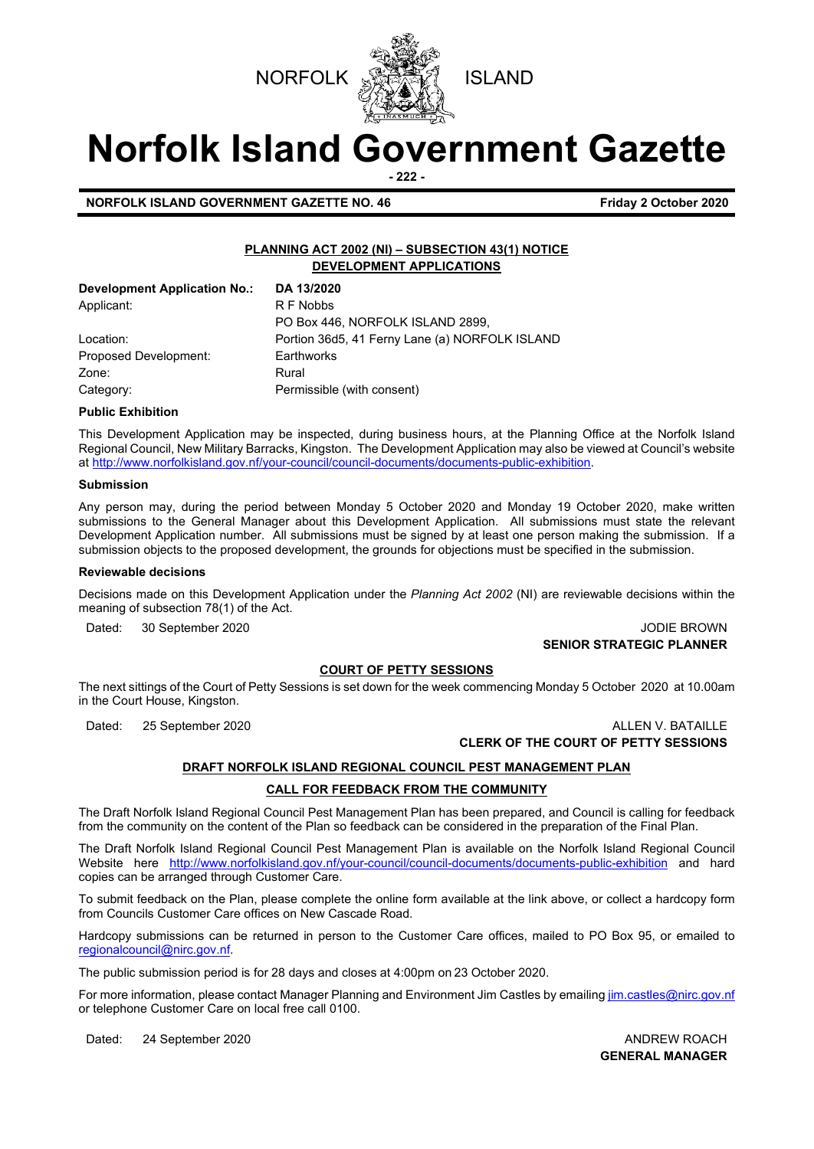



# **Norfolk Island Government Gazette**

**- 222 -**

**NORFOLK ISLAND GOVERNMENT GAZETTE NO. 46 Friday 2 October 2020** 

#### **PLANNING ACT 2002 (NI) – SUBSECTION 43(1) NOTICE DEVELOPMENT APPLICATIONS**

| <b>Development Application No.:</b> | DA 13/2020                                     |
|-------------------------------------|------------------------------------------------|
| Applicant:                          | R F Nobbs                                      |
|                                     | PO Box 446, NORFOLK ISLAND 2899,               |
| Location:                           | Portion 36d5, 41 Ferny Lane (a) NORFOLK ISLAND |
| Proposed Development:               | Earthworks                                     |
| Zone:                               | Rural                                          |
| Category:                           | Permissible (with consent)                     |

#### **Public Exhibition**

This Development Application may be inspected, during business hours, at the Planning Office at the Norfolk Island Regional Council, New Military Barracks, Kingston. The Development Application may also be viewed at Council's website a[t http://www.norfolkisland.gov.nf/your-council/council-documents/documents-public-exhibition.](http://www.norfolkisland.gov.nf/your-council/council-documents/documents-public-exhibition)

#### **Submission**

Any person may, during the period between Monday 5 October 2020 and Monday 19 October 2020, make written submissions to the General Manager about this Development Application. All submissions must state the relevant Development Application number. All submissions must be signed by at least one person making the submission. If a submission objects to the proposed development, the grounds for objections must be specified in the submission.

#### **Reviewable decisions**

Decisions made on this Development Application under the *Planning Act 2002* (NI) are reviewable decisions within the meaning of subsection 78(1) of the Act.

#### Dated: 30 September 2020 JODIE BROWN **SENIOR STRATEGIC PLANNER**

#### **COURT OF PETTY SESSIONS**

The next sittings of the Court of Petty Sessions is set down for the week commencing Monday 5 October 2020 at 10.00am in the Court House, Kingston.

#### Dated: 25 September 2020 ALLEN V. BATAILLE **CLERK OF THE COURT OF PETTY SESSIONS**

#### **DRAFT NORFOLK ISLAND REGIONAL COUNCIL PEST MANAGEMENT PLAN**

#### **CALL FOR FEEDBACK FROM THE COMMUNITY**

The Draft Norfolk Island Regional Council Pest Management Plan has been prepared, and Council is calling for feedback from the community on the content of the Plan so feedback can be considered in the preparation of the Final Plan.

The Draft Norfolk Island Regional Council Pest Management Plan is available on the Norfolk Island Regional Council Website here <http://www.norfolkisland.gov.nf/your-council/council-documents/documents-public-exhibition> and hard copies can be arranged through Customer Care.

To submit feedback on the Plan, please complete the online form available at the link above, or collect a hardcopy form from Councils Customer Care offices on New Cascade Road.

Hardcopy submissions can be returned in person to the Customer Care offices, mailed to PO Box 95, or emailed to [regionalcouncil@nirc.gov.nf.](mailto:regionalcouncil@nirc.gov.nf)

The public submission period is for 28 days and closes at 4:00pm on 23 October 2020.

For more information, please contact Manager Planning and Environment Jim Castles by emailin[g jim.castles@nirc.gov.nf](mailto:jim.castles@nirc.gov.nf) or telephone Customer Care on local free call 0100.

Dated: 24 September 2020 **ANDREW ROACH ANDREW ROACH** 

**GENERAL MANAGER**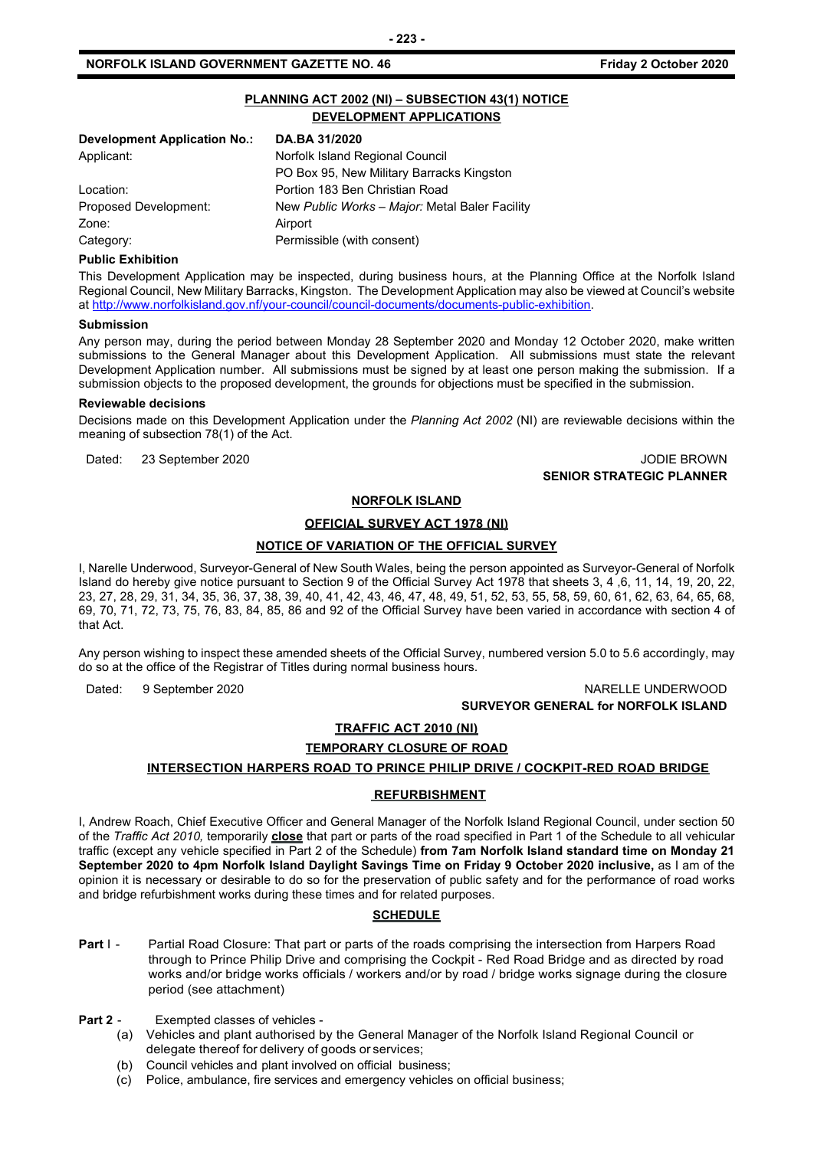#### **NORFOLK ISLAND GOVERNMENT GAZETTE NO. 46 Friday 2 October 2020**

#### **PLANNING ACT 2002 (NI) – SUBSECTION 43(1) NOTICE DEVELOPMENT APPLICATIONS**

| <b>Development Application No.:</b> | DA.BA 31/2020                                  |  |
|-------------------------------------|------------------------------------------------|--|
| Applicant:                          | Norfolk Island Regional Council                |  |
|                                     | PO Box 95, New Military Barracks Kingston      |  |
| Location:                           | Portion 183 Ben Christian Road                 |  |
| Proposed Development:               | New Public Works - Major: Metal Baler Facility |  |
| Zone:                               | Airport                                        |  |
| Category:                           | Permissible (with consent)                     |  |

#### **Public Exhibition**

This Development Application may be inspected, during business hours, at the Planning Office at the Norfolk Island Regional Council, New Military Barracks, Kingston. The Development Application may also be viewed at Council's website a[t http://www.norfolkisland.gov.nf/your-council/council-documents/documents-public-exhibition.](http://www.norfolkisland.gov.nf/your-council/council-documents/documents-public-exhibition)

#### **Submission**

Any person may, during the period between Monday 28 September 2020 and Monday 12 October 2020, make written submissions to the General Manager about this Development Application. All submissions must state the relevant Development Application number. All submissions must be signed by at least one person making the submission. If a submission objects to the proposed development, the grounds for objections must be specified in the submission.

#### **Reviewable decisions**

Decisions made on this Development Application under the *Planning Act 2002* (NI) are reviewable decisions within the meaning of subsection 78(1) of the Act.

Dated: 23 September 2020 JODIE BROWN

## **SENIOR STRATEGIC PLANNER**

#### **NORFOLK ISLAND**

#### **OFFICIAL SURVEY ACT 1978 (NI)**

#### **NOTICE OF VARIATION OF THE OFFICIAL SURVEY**

I, Narelle Underwood, Surveyor-General of New South Wales, being the person appointed as Surveyor-General of Norfolk Island do hereby give notice pursuant to Section 9 of the Official Survey Act 1978 that sheets 3, 4 ,6, 11, 14, 19, 20, 22, 23, 27, 28, 29, 31, 34, 35, 36, 37, 38, 39, 40, 41, 42, 43, 46, 47, 48, 49, 51, 52, 53, 55, 58, 59, 60, 61, 62, 63, 64, 65, 68, 69, 70, 71, 72, 73, 75, 76, 83, 84, 85, 86 and 92 of the Official Survey have been varied in accordance with section 4 of that Act.

Any person wishing to inspect these amended sheets of the Official Survey, numbered version 5.0 to 5.6 accordingly, may do so at the office of the Registrar of Titles during normal business hours.

Dated: 9 September 2020 NARELLE UNDERWOOD **SURVEYOR GENERAL for NORFOLK ISLAND**

## **TRAFFIC ACT 2010 (NI)**

## **TEMPORARY CLOSURE OF ROAD**

### **INTERSECTION HARPERS ROAD TO PRINCE PHILIP DRIVE / COCKPIT-RED ROAD BRIDGE**

#### **REFURBISHMENT**

I, Andrew Roach, Chief Executive Officer and General Manager of the Norfolk Island Regional Council, under section 50 of the *Traffic Act 2010,* temporarily **close** that part or parts of the road specified in Part 1 of the Schedule to all vehicular traffic (except any vehicle specified in Part 2 of the Schedule) **from 7am Norfolk Island standard time on Monday 21 September 2020 to 4pm Norfolk Island Daylight Savings Time on Friday 9 October 2020 inclusive, as I am of the** opinion it is necessary or desirable to do so for the preservation of public safety and for the performance of road works and bridge refurbishment works during these times and for related purposes.

#### **SCHEDULE**

- **Part I -** Partial Road Closure: That part or parts of the roads comprising the intersection from Harpers Road through to Prince Philip Drive and comprising the Cockpit - Red Road Bridge and as directed by road works and/or bridge works officials / workers and/or by road / bridge works signage during the closure period (see attachment)
- **Part 2** Exempted classes of vehicles
	- (a) Vehicles and plant authorised by the General Manager of the Norfolk Island Regional Council or delegate thereof for delivery of goods or services;
	- (b) Council vehicles and plant involved on official business;
	- (c) Police, ambulance, fire services and emergency vehicles on official business;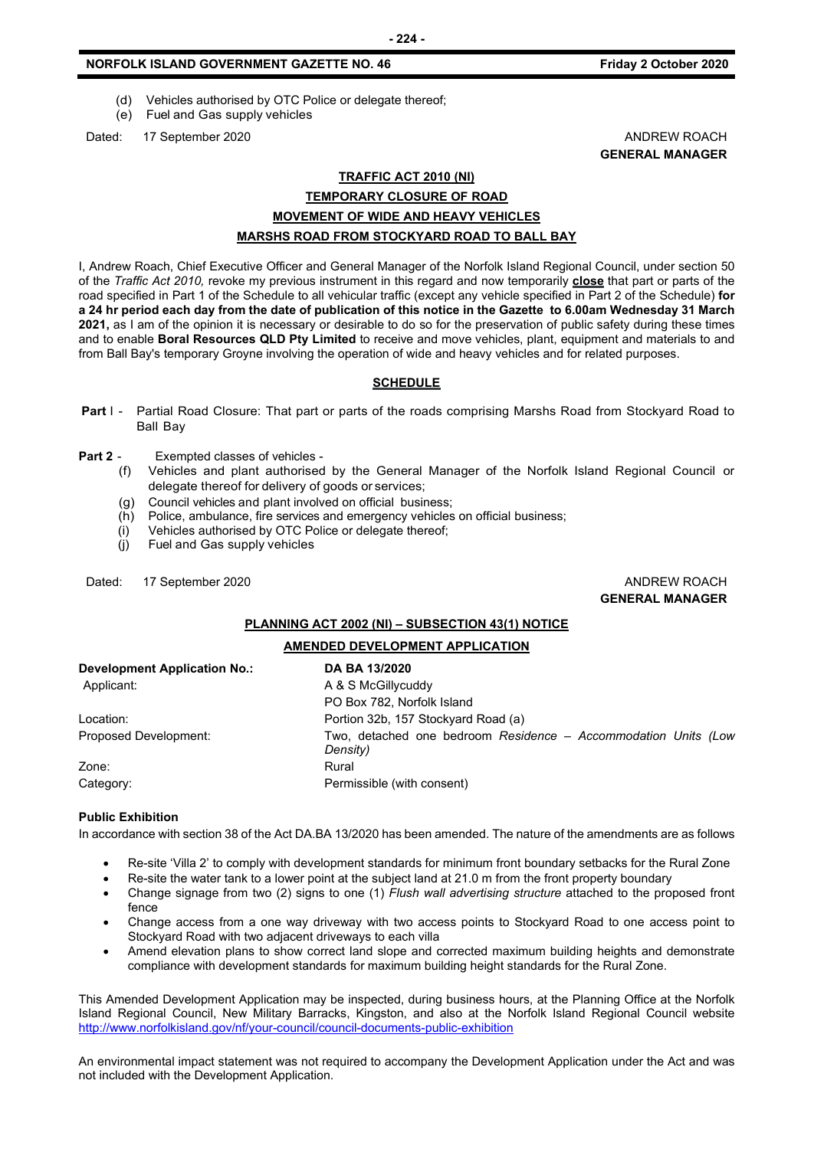#### **NORFOLK ISLAND GOVERNMENT GAZETTE NO. 46 Friday 2 October 2020**

- (d) Vehicles authorised by OTC Police or delegate thereof;
- (e) Fuel and Gas supply vehicles

Dated: 17 September 2020 **ANDREW ROACH CONSIDERER AND ANDREW ROACH** 

**GENERAL MANAGER**

#### **TRAFFIC ACT 2010 (NI)**

#### **TEMPORARY CLOSURE OF ROAD MOVEMENT OF WIDE AND HEAVY VEHICLES MARSHS ROAD FROM STOCKYARD ROAD TO BALL BAY**

I, Andrew Roach, Chief Executive Officer and General Manager of the Norfolk Island Regional Council, under section 50 of the *Traffic Act 2010,* revoke my previous instrument in this regard and now temporarily **close** that part or parts of the road specified in Part 1 of the Schedule to all vehicular traffic (except any vehicle specified in Part 2 of the Schedule) **for a 24 hr period each day from the date of publication of this notice in the Gazette to 6.00am Wednesday 31 March 2021,** as I am of the opinion it is necessary or desirable to do so for the preservation of public safety during these times and to enable **Boral Resources QLD Pty Limited** to receive and move vehicles, plant, equipment and materials to and from Ball Bay's temporary Groyne involving the operation of wide and heavy vehicles and for related purposes.

#### **SCHEDULE**

- **Part** I Partial Road Closure: That part or parts of the roads comprising Marshs Road from Stockyard Road to Ball Bay
- **Part 2** Exempted classes of vehicles
	- (f) Vehicles and plant authorised by the General Manager of the Norfolk Island Regional Council or delegate thereof for delivery of goods or services;
	- (g) Council vehicles and plant involved on official business;
	- (h) Police, ambulance, fire services and emergency vehicles on official business;
	- (i) Vehicles authorised by OTC Police or delegate thereof;
	- (j) Fuel and Gas supply vehicles

Dated: 17 September 2020 **ANDREW ROACH CONSIDERER AND ANDREW ROACH** 

**GENERAL MANAGER**

#### **PLANNING ACT 2002 (NI) – SUBSECTION 43(1) NOTICE**

#### **AMENDED DEVELOPMENT APPLICATION**

| <b>Development Application No.:</b> | DA BA 13/2020                                                              |
|-------------------------------------|----------------------------------------------------------------------------|
| Applicant:                          | A & S McGillycuddy                                                         |
|                                     | PO Box 782, Norfolk Island                                                 |
| Location:                           | Portion 32b, 157 Stockyard Road (a)                                        |
| Proposed Development:               | Two, detached one bedroom Residence - Accommodation Units (Low<br>Density) |
| Zone:                               | Rural                                                                      |
| Category:                           | Permissible (with consent)                                                 |

#### **Public Exhibition**

In accordance with section 38 of the Act DA.BA 13/2020 has been amended. The nature of the amendments are as follows

- Re-site 'Villa 2' to comply with development standards for minimum front boundary setbacks for the Rural Zone
- Re-site the water tank to a lower point at the subject land at 21.0 m from the front property boundary
- Change signage from two (2) signs to one (1) *Flush wall advertising structure* attached to the proposed front fence
- Change access from a one way driveway with two access points to Stockyard Road to one access point to Stockyard Road with two adjacent driveways to each villa
- Amend elevation plans to show correct land slope and corrected maximum building heights and demonstrate compliance with development standards for maximum building height standards for the Rural Zone.

This Amended Development Application may be inspected, during business hours, at the Planning Office at the Norfolk Island Regional Council, New Military Barracks, Kingston, and also at the Norfolk Island Regional Council website <http://www.norfolkisland.gov/nf/your-council/council-documents-public-exhibition>

An environmental impact statement was not required to accompany the Development Application under the Act and was not included with the Development Application.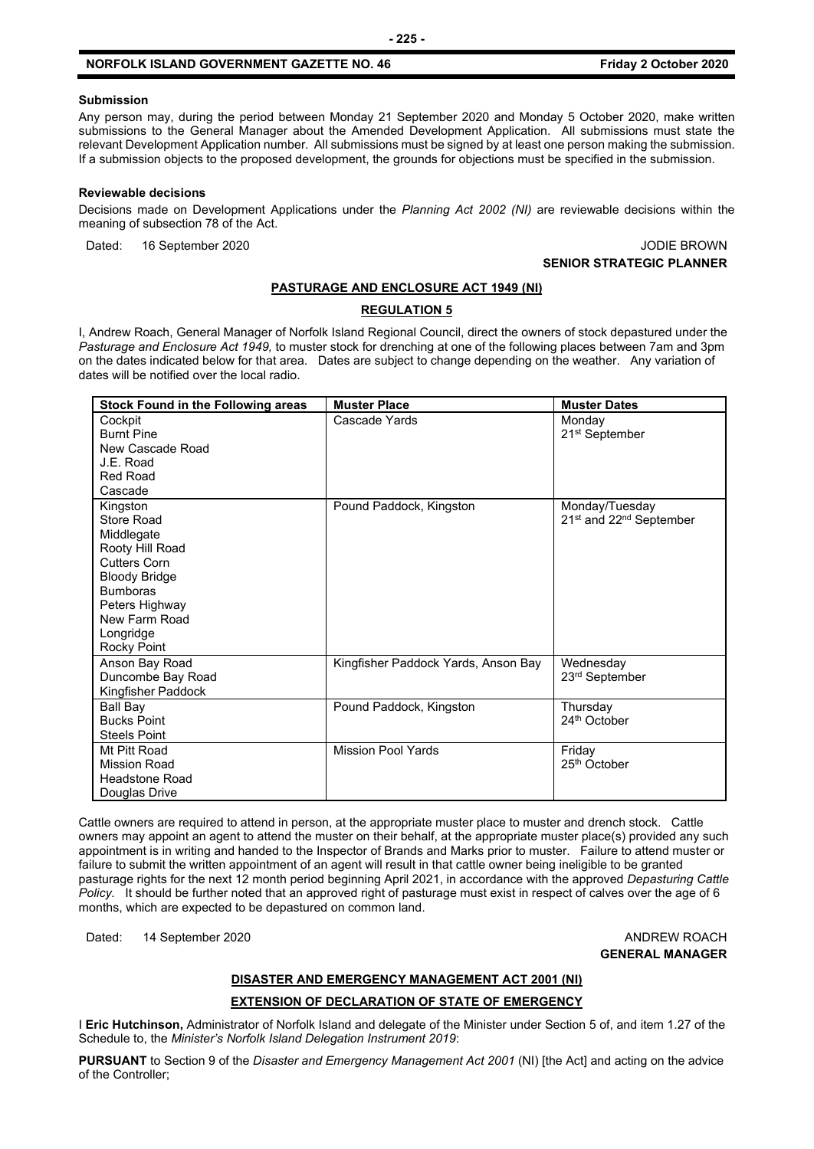#### **NORFOLK ISLAND GOVERNMENT GAZETTE NO. 46 Friday 2 October 2020**

#### **Submission**

Any person may, during the period between Monday 21 September 2020 and Monday 5 October 2020, make written submissions to the General Manager about the Amended Development Application. All submissions must state the relevant Development Application number. All submissions must be signed by at least one person making the submission. If a submission objects to the proposed development, the grounds for objections must be specified in the submission.

#### **Reviewable decisions**

Decisions made on Development Applications under the *Planning Act 2002 (NI)* are reviewable decisions within the meaning of subsection 78 of the Act.

Dated: 16 September 2020 JODIE BROWN

## **SENIOR STRATEGIC PLANNER**

#### **PASTURAGE AND ENCLOSURE ACT 1949 (NI)**

#### **REGULATION 5**

I, Andrew Roach, General Manager of Norfolk Island Regional Council, direct the owners of stock depastured under the *Pasturage and Enclosure Act 1949,* to muster stock for drenching at one of the following places between 7am and 3pm on the dates indicated below for that area. Dates are subject to change depending on the weather. Any variation of dates will be notified over the local radio.

| <b>Stock Found in the Following areas</b> | <b>Muster Place</b>                 | <b>Muster Dates</b>                             |
|-------------------------------------------|-------------------------------------|-------------------------------------------------|
| Cockpit                                   | Cascade Yards                       | Monday                                          |
| <b>Burnt Pine</b>                         |                                     | 21 <sup>st</sup> September                      |
| New Cascade Road                          |                                     |                                                 |
| J.E. Road                                 |                                     |                                                 |
| <b>Red Road</b>                           |                                     |                                                 |
| Cascade                                   |                                     |                                                 |
| Kingston                                  | Pound Paddock, Kingston             | Monday/Tuesday                                  |
| Store Road                                |                                     | 21 <sup>st</sup> and 22 <sup>nd</sup> September |
| Middlegate                                |                                     |                                                 |
| Rooty Hill Road                           |                                     |                                                 |
| <b>Cutters Corn</b>                       |                                     |                                                 |
| <b>Bloody Bridge</b>                      |                                     |                                                 |
| <b>Bumboras</b>                           |                                     |                                                 |
| Peters Highway                            |                                     |                                                 |
| New Farm Road                             |                                     |                                                 |
| Longridge                                 |                                     |                                                 |
| Rocky Point                               |                                     |                                                 |
| Anson Bay Road                            | Kingfisher Paddock Yards, Anson Bay | Wednesday                                       |
| Duncombe Bay Road                         |                                     | 23rd September                                  |
| Kingfisher Paddock                        |                                     |                                                 |
| Ball Bay                                  | Pound Paddock, Kingston             | Thursday                                        |
| <b>Bucks Point</b>                        |                                     | 24th October                                    |
| <b>Steels Point</b>                       |                                     |                                                 |
| Mt Pitt Road                              | <b>Mission Pool Yards</b>           | Friday                                          |
| <b>Mission Road</b>                       |                                     | 25 <sup>th</sup> October                        |
| <b>Headstone Road</b>                     |                                     |                                                 |
| Douglas Drive                             |                                     |                                                 |

Cattle owners are required to attend in person, at the appropriate muster place to muster and drench stock. Cattle owners may appoint an agent to attend the muster on their behalf, at the appropriate muster place(s) provided any such appointment is in writing and handed to the Inspector of Brands and Marks prior to muster. Failure to attend muster or failure to submit the written appointment of an agent will result in that cattle owner being ineligible to be granted pasturage rights for the next 12 month period beginning April 2021, in accordance with the approved *Depasturing Cattle Policy.* It should be further noted that an approved right of pasturage must exist in respect of calves over the age of 6 months, which are expected to be depastured on common land.

Dated: 14 September 2020 **ANDREW ROACH ANDREW ROACH** 

**GENERAL MANAGER**

#### **DISASTER AND EMERGENCY MANAGEMENT ACT 2001 (NI)**

#### **EXTENSION OF DECLARATION OF STATE OF EMERGENCY**

I **Eric Hutchinson,** Administrator of Norfolk Island and delegate of the Minister under Section 5 of, and item 1.27 of the Schedule to, the *Minister's Norfolk Island Delegation Instrument 2019*:

**PURSUANT** to Section 9 of the *Disaster and Emergency Management Act 2001* (NI) [the Act] and acting on the advice of the Controller;